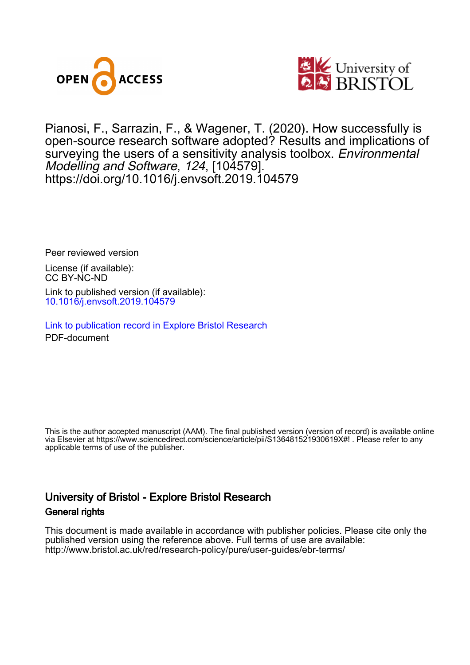



Pianosi, F., Sarrazin, F., & Wagener, T. (2020). How successfully is open-source research software adopted? Results and implications of surveying the users of a sensitivity analysis toolbox. Environmental Modelling and Software, 124, [104579]. <https://doi.org/10.1016/j.envsoft.2019.104579>

Peer reviewed version

License (if available): CC BY-NC-ND Link to published version (if available): [10.1016/j.envsoft.2019.104579](https://doi.org/10.1016/j.envsoft.2019.104579)

[Link to publication record in Explore Bristol Research](https://research-information.bris.ac.uk/en/publications/d71301c1-9330-4250-8d2f-91695094d932) PDF-document

This is the author accepted manuscript (AAM). The final published version (version of record) is available online via Elsevier at https://www.sciencedirect.com/science/article/pii/S136481521930619X#! . Please refer to any applicable terms of use of the publisher.

# University of Bristol - Explore Bristol Research General rights

This document is made available in accordance with publisher policies. Please cite only the published version using the reference above. Full terms of use are available: http://www.bristol.ac.uk/red/research-policy/pure/user-guides/ebr-terms/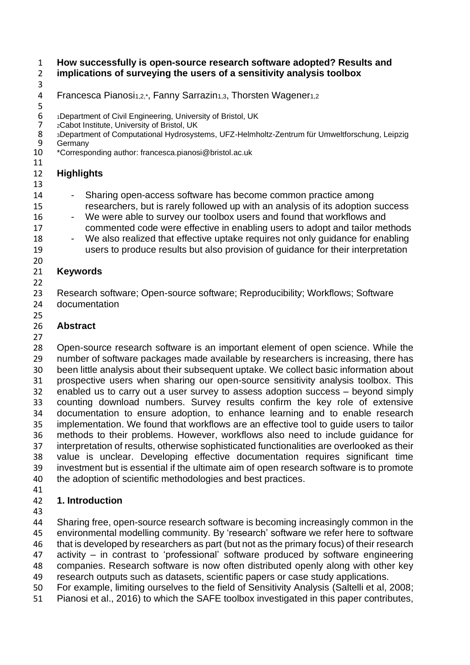## **How successfully is open-source research software adopted? Results and implications of surveying the users of a sensitivity analysis toolbox**

# 

# 4 Francesca Pianosi<sub>1,2,\*</sub>, Fanny Sarrazin<sub>1,3</sub>, Thorsten Wagener<sub>1,2</sub>

- 6 1Department of Civil Engineering, University of Bristol, UK<br>
7 2Cabot Institute, University of Bristol, UK
- 2Cabot Institute, University of Bristol, UK<br>8 3Department of Computational Hydrosyst
- 8 3Department of Computational Hydrosystems, UFZ-Helmholtz-Zentrum für Umweltforschung, Leipzig<br>9 Germany
- 9 Germany<br>10 \*Correspo
- \*Corresponding author: francesca.pianosi@bristol.ac.uk

## **Highlights**

- 
- 14 Sharing open-access software has become common practice among researchers, but is rarely followed up with an analysis of its adoption success
- 16 We were able to survey our toolbox users and found that workflows and commented code were effective in enabling users to adopt and tailor methods
- 18 We also realized that effective uptake requires not only quidance for enabling users to produce results but also provision of guidance for their interpretation

#### **Keywords**

 Research software; Open-source software; Reproducibility; Workflows; Software documentation

## **Abstract**

 Open-source research software is an important element of open science. While the number of software packages made available by researchers is increasing, there has been little analysis about their subsequent uptake. We collect basic information about prospective users when sharing our open-source sensitivity analysis toolbox. This enabled us to carry out a user survey to assess adoption success – beyond simply counting download numbers. Survey results confirm the key role of extensive documentation to ensure adoption, to enhance learning and to enable research implementation. We found that workflows are an effective tool to guide users to tailor methods to their problems. However, workflows also need to include guidance for interpretation of results, otherwise sophisticated functionalities are overlooked as their value is unclear. Developing effective documentation requires significant time investment but is essential if the ultimate aim of open research software is to promote the adoption of scientific methodologies and best practices.

# **1. Introduction**

 Sharing free, open-source research software is becoming increasingly common in the environmental modelling community. By 'research' software we refer here to software that is developed by researchers as part (but not as the primary focus) of their research activity – in contrast to 'professional' software produced by software engineering companies. Research software is now often distributed openly along with other key research outputs such as datasets, scientific papers or case study applications.

- For example, limiting ourselves to the field of Sensitivity Analysis (Saltelli et al, 2008;
- Pianosi et al., 2016) to which the SAFE toolbox investigated in this paper contributes,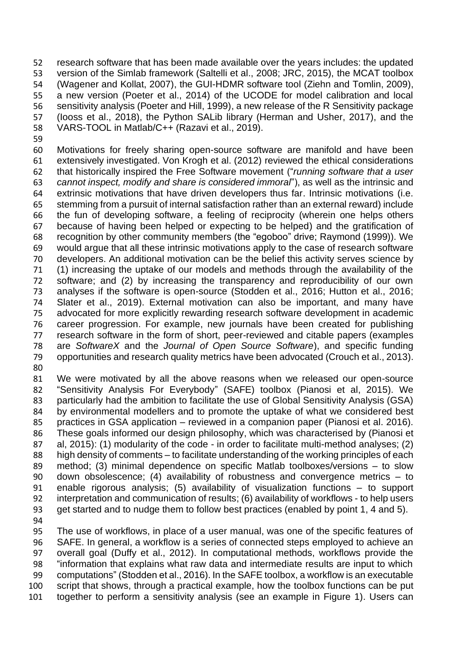research software that has been made available over the years includes: the updated version of the Simlab framework (Saltelli et al., 2008; JRC, 2015), the MCAT toolbox (Wagener and Kollat, 2007), the GUI-HDMR software tool (Ziehn and Tomlin, 2009), a new version (Poeter et al., 2014) of the UCODE for model calibration and local sensitivity analysis (Poeter and Hill, 1999), a new release of the R Sensitivity package (Iooss et al., 2018), the Python SALib library (Herman and Usher, 2017), and the VARS-TOOL in Matlab/C++ (Razavi et al., 2019).

 Motivations for freely sharing open-source software are manifold and have been extensively investigated. Von Krogh et al. (2012) reviewed the ethical considerations that historically inspired the Free Software movement ("*running software that a user cannot inspect, modify and share is considered immoral*"), as well as the intrinsic and extrinsic motivations that have driven developers thus far. Intrinsic motivations (i.e. stemming from a pursuit of internal satisfaction rather than an external reward) include the fun of developing software, a feeling of reciprocity (wherein one helps others because of having been helped or expecting to be helped) and the gratification of recognition by other community members (the "egoboo" drive; Raymond (1999)). We would argue that all these intrinsic motivations apply to the case of research software developers. An additional motivation can be the belief this activity serves science by (1) increasing the uptake of our models and methods through the availability of the software; and (2) by increasing the transparency and reproducibility of our own analyses if the software is open-source (Stodden et al., 2016; Hutton et al., 2016; Slater et al., 2019). External motivation can also be important, and many have advocated for more explicitly rewarding research software development in academic career progression. For example, new journals have been created for publishing research software in the form of short, peer-reviewed and citable papers (examples are *SoftwareX* and the *Journal of Open Source Software*), and specific funding opportunities and research quality metrics have been advocated (Crouch et al., 2013). 

 We were motivated by all the above reasons when we released our open-source "Sensitivity Analysis For Everybody" (SAFE) toolbox (Pianosi et al, 2015). We particularly had the ambition to facilitate the use of Global Sensitivity Analysis (GSA) by environmental modellers and to promote the uptake of what we considered best practices in GSA application – reviewed in a companion paper (Pianosi et al. 2016). These goals informed our design philosophy, which was characterised by (Pianosi et al, 2015): (1) modularity of the code - in order to facilitate multi-method analyses; (2) high density of comments – to facilitate understanding of the working principles of each method; (3) minimal dependence on specific Matlab toolboxes/versions – to slow down obsolescence; (4) availability of robustness and convergence metrics – to enable rigorous analysis; (5) availability of visualization functions – to support interpretation and communication of results; (6) availability of workflows - to help users get started and to nudge them to follow best practices (enabled by point 1, 4 and 5).

 The use of workflows, in place of a user manual, was one of the specific features of SAFE. In general, a workflow is a series of connected steps employed to achieve an overall goal (Duffy et al., 2012). In computational methods, workflows provide the "information that explains what raw data and intermediate results are input to which computations" (Stodden et al., 2016). In the SAFE toolbox, a workflow is an executable script that shows, through a practical example, how the toolbox functions can be put together to perform a sensitivity analysis (see an example in Figure 1). Users can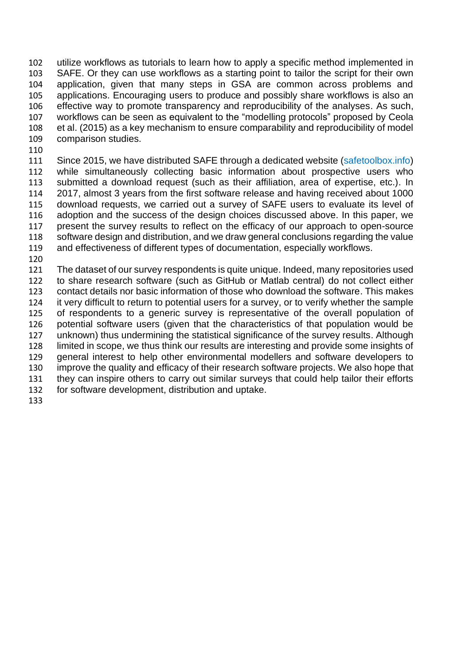utilize workflows as tutorials to learn how to apply a specific method implemented in SAFE. Or they can use workflows as a starting point to tailor the script for their own application, given that many steps in GSA are common across problems and applications. Encouraging users to produce and possibly share workflows is also an effective way to promote transparency and reproducibility of the analyses. As such, workflows can be seen as equivalent to the "modelling protocols" proposed by Ceola et al. (2015) as a key mechanism to ensure comparability and reproducibility of model comparison studies.

 Since 2015, we have distributed SAFE through a dedicated website (safetoolbox.info) while simultaneously collecting basic information about prospective users who submitted a download request (such as their affiliation, area of expertise, etc.). In 2017, almost 3 years from the first software release and having received about 1000 download requests, we carried out a survey of SAFE users to evaluate its level of adoption and the success of the design choices discussed above. In this paper, we present the survey results to reflect on the efficacy of our approach to open-source software design and distribution, and we draw general conclusions regarding the value and effectiveness of different types of documentation, especially workflows.

 The dataset of our survey respondents is quite unique. Indeed, many repositories used to share research software (such as GitHub or Matlab central) do not collect either contact details nor basic information of those who download the software. This makes it very difficult to return to potential users for a survey, or to verify whether the sample of respondents to a generic survey is representative of the overall population of potential software users (given that the characteristics of that population would be unknown) thus undermining the statistical significance of the survey results. Although limited in scope, we thus think our results are interesting and provide some insights of general interest to help other environmental modellers and software developers to improve the quality and efficacy of their research software projects. We also hope that they can inspire others to carry out similar surveys that could help tailor their efforts for software development, distribution and uptake.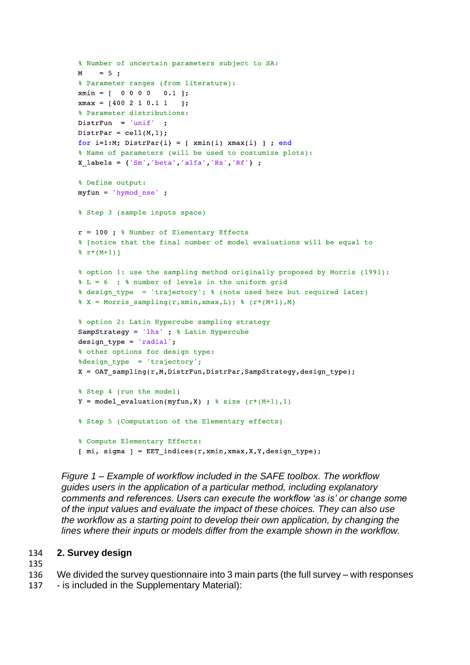```
% Number of uncertain parameters subject to SA:
M = 5;% Parameter ranges (from literature):
xmin = [ 0 0 0 0 0 0.1 ]xmax = [400 2 1 0.1 1 ];
% Parameter distributions:
DistrFun = 'unif' ;
DistrPar = cell(M, 1);
for i=1:M; DistrPar{i} = [ xmin(i) xmax(i) ] ; end
% Name of parameters (will be used to costumize plots):
X labels = {'Sm', 'beta', 'alfa', 'Rs', 'Rf'} ;
% Define output:
myfun = 'hymod nse';
% Step 3 (sample inputs space)
r = 100 ; % Number of Elementary Effects
% [notice that the final number of model evaluations will be equal to
\frac{1}{2} r*(M+1)]
% option 1: use the sampling method originally proposed by Morris (1991):
\text{\$L = 6 ; \text{\$ number of levels in the uniform grid}% design_type = 'trajectory'; % (note used here but required later)
% X = Morris sampling(r, xmin, xmax, L); % (r*(M+1), M)% option 2: Latin Hypercube sampling strategy
SampStrategy = 'lhs' ; % Latin Hypercube
design type = 'radial';
% other options for design type:
%design type = 'trajectory';
X = OAT sampling(r, M, DistrFun, DistrPar, SampStrategy, design type);% Step 4 (run the model)
Y = model\_evaluation(myfun,X) ; % size (r*(M+1), 1)% Step 5 (Computation of the Elementary effects)
% Compute Elementary Effects:
[ mi, sigma ] = EET indices(r, xmin, xmax, X, Y, design type);
```
*Figure 1 – Example of workflow included in the SAFE toolbox. The workflow guides users in the application of a particular method, including explanatory comments and references. Users can execute the workflow 'as is' or change some of the input values and evaluate the impact of these choices. They can also use the workflow as a starting point to develop their own application, by changing the lines where their inputs or models differ from the example shown in the workflow.*

## 134 **2. Survey design**

135

136 We divided the survey questionnaire into 3 main parts (the full survey – with responses

137 - is included in the Supplementary Material):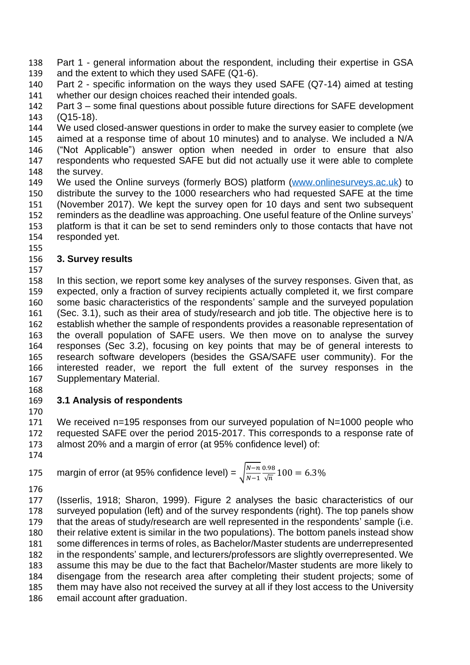Part 1 - general information about the respondent, including their expertise in GSA and the extent to which they used SAFE (Q1-6).

 Part 2 - specific information on the ways they used SAFE (Q7-14) aimed at testing whether our design choices reached their intended goals.

 Part 3 – some final questions about possible future directions for SAFE development (Q15-18).

 We used closed-answer questions in order to make the survey easier to complete (we aimed at a response time of about 10 minutes) and to analyse. We included a N/A ("Not Applicable") answer option when needed in order to ensure that also respondents who requested SAFE but did not actually use it were able to complete the survey.

- We used the Online surveys (formerly BOS) platform (www.onlinesurveys.ac.uk) to distribute the survey to the 1000 researchers who had requested SAFE at the time (November 2017). We kept the survey open for 10 days and sent two subsequent reminders as the deadline was approaching. One useful feature of the Online surveys' platform is that it can be set to send reminders only to those contacts that have not
- responded yet.

## **3. Survey results**

 In this section, we report some key analyses of the survey responses. Given that, as expected, only a fraction of survey recipients actually completed it, we first compare some basic characteristics of the respondents' sample and the surveyed population (Sec. 3.1), such as their area of study/research and job title. The objective here is to establish whether the sample of respondents provides a reasonable representation of the overall population of SAFE users. We then move on to analyse the survey responses (Sec 3.2), focusing on key points that may be of general interests to research software developers (besides the GSA/SAFE user community). For the interested reader, we report the full extent of the survey responses in the Supplementary Material.

# **3.1 Analysis of respondents**

 We received n=195 responses from our surveyed population of N=1000 people who requested SAFE over the period 2015-2017. This corresponds to a response rate of almost 20% and a margin of error (at 95% confidence level) of:

margin of error (at 95% confidence level) =  $\int_{\frac{N-n}{2}}^{N-n}$  $N-1$ 0.98 175 margin of error (at 95% confidence level) =  $\sqrt{\frac{N-n}{N-1}} \frac{0.98}{\sqrt{n}} 100 = 6.3\%$ 

 (Isserlis, 1918; Sharon, 1999). Figure 2 analyses the basic characteristics of our surveyed population (left) and of the survey respondents (right). The top panels show that the areas of study/research are well represented in the respondents' sample (i.e. their relative extent is similar in the two populations). The bottom panels instead show some differences in terms of roles, as Bachelor/Master students are underrepresented in the respondents' sample, and lecturers/professors are slightly overrepresented. We assume this may be due to the fact that Bachelor/Master students are more likely to disengage from the research area after completing their student projects; some of them may have also not received the survey at all if they lost access to the University email account after graduation.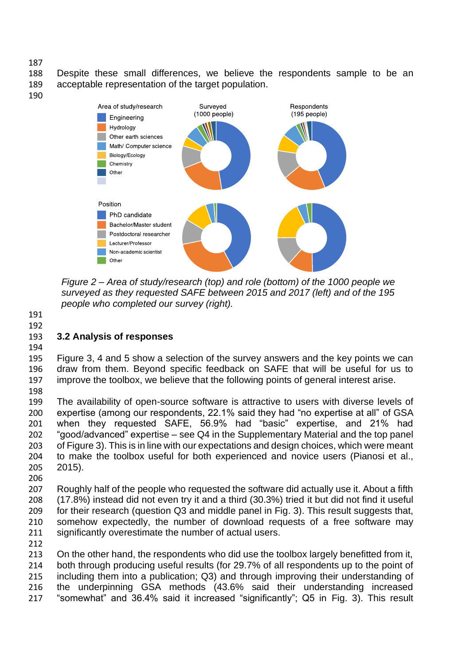Despite these small differences, we believe the respondents sample to be an acceptable representation of the target population.



*Figure 2 – Area of study/research (top) and role (bottom) of the 1000 people we surveyed as they requested SAFE between 2015 and 2017 (left) and of the 195 people who completed our survey (right).*

 

## **3.2 Analysis of responses**

 Figure 3, 4 and 5 show a selection of the survey answers and the key points we can draw from them. Beyond specific feedback on SAFE that will be useful for us to improve the toolbox, we believe that the following points of general interest arise.

 The availability of open-source software is attractive to users with diverse levels of expertise (among our respondents, 22.1% said they had "no expertise at all" of GSA when they requested SAFE, 56.9% had "basic" expertise, and 21% had "good/advanced" expertise – see Q4 in the Supplementary Material and the top panel of Figure 3). This is in line with our expectations and design choices, which were meant to make the toolbox useful for both experienced and novice users (Pianosi et al., 2015).

 Roughly half of the people who requested the software did actually use it. About a fifth (17.8%) instead did not even try it and a third (30.3%) tried it but did not find it useful for their research (question Q3 and middle panel in Fig. 3). This result suggests that, somehow expectedly, the number of download requests of a free software may significantly overestimate the number of actual users.

 On the other hand, the respondents who did use the toolbox largely benefitted from it, both through producing useful results (for 29.7% of all respondents up to the point of including them into a publication; Q3) and through improving their understanding of the underpinning GSA methods (43.6% said their understanding increased "somewhat" and 36.4% said it increased "significantly"; Q5 in Fig. 3). This result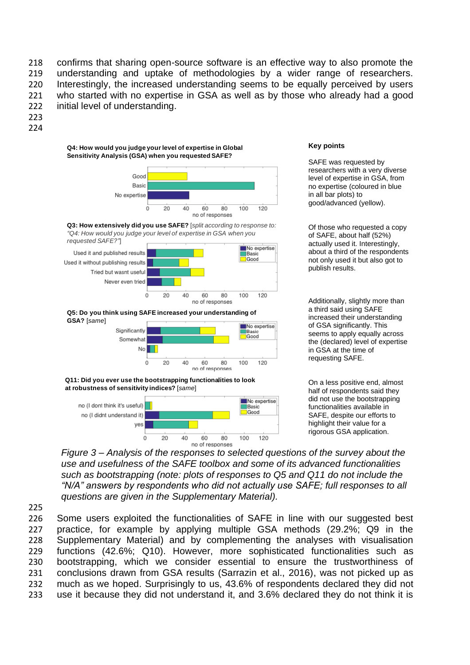confirms that sharing open-source software is an effective way to also promote the understanding and uptake of methodologies by a wider range of researchers. Interestingly, the increased understanding seems to be equally perceived by users who started with no expertise in GSA as well as by those who already had a good initial level of understanding.

- 223
- 224

#### **Q4: How would you judge yourlevel of expertise in Global Sensitivity Analysis (GSA) when you requested SAFE?**







**Q5: Do you think using SAFE increased your understanding of GSA?** [*same*]



**Q11: Did you ever use the bootstrapping functionalities to look at robustness of sensitivity indices?** [*same*]



#### **Key points**

SAFE was requested by researchers with a very diverse level of expertise in GSA, from no expertise (coloured in blue in all bar plots) to good/advanced (yellow).

Of those who requested a copy of SAFE, about half (52%) actually used it. Interestingly, about a third of the respondents not only used it but also got to publish results.

Additionally, slightly more than a third said using SAFE increased their understanding of GSA significantly. This seems to apply equally across the (declared) level of expertise in GSA at the time of requesting SAFE.

On a less positive end, almost half of respondents said they did not use the bootstrapping functionalities available in SAFE, despite our efforts to highlight their value for a rigorous GSA application.

*Figure 3 – Analysis of the responses to selected questions of the survey about the use and usefulness of the SAFE toolbox and some of its advanced functionalities such as bootstrapping (note: plots of responses to Q5 and Q11 do not include the "N/A" answers by respondents who did not actually use SAFE; full responses to all questions are given in the Supplementary Material).*

225

 Some users exploited the functionalities of SAFE in line with our suggested best practice, for example by applying multiple GSA methods (29.2%; Q9 in the Supplementary Material) and by complementing the analyses with visualisation functions (42.6%; Q10). However, more sophisticated functionalities such as bootstrapping, which we consider essential to ensure the trustworthiness of conclusions drawn from GSA results (Sarrazin et al., 2016), was not picked up as much as we hoped. Surprisingly to us, 43.6% of respondents declared they did not use it because they did not understand it, and 3.6% declared they do not think it is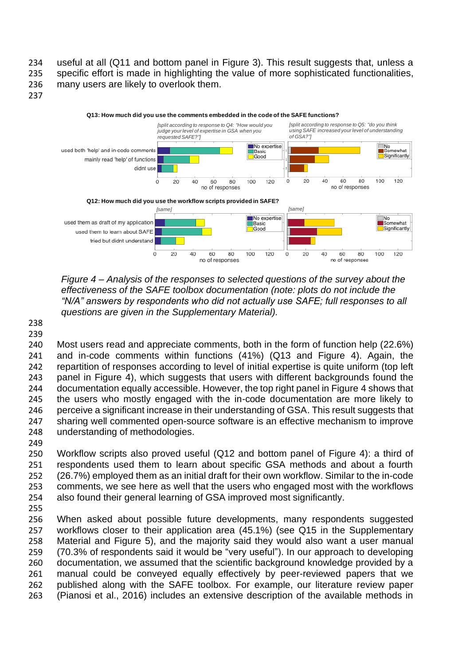useful at all (Q11 and bottom panel in Figure 3). This result suggests that, unless a specific effort is made in highlighting the value of more sophisticated functionalities, many users are likely to overlook them.



*Figure 4 – Analysis of the responses to selected questions of the survey about the effectiveness of the SAFE toolbox documentation (note: plots do not include the "N/A" answers by respondents who did not actually use SAFE; full responses to all questions are given in the Supplementary Material).*

 

 Most users read and appreciate comments, both in the form of function help (22.6%) and in-code comments within functions (41%) (Q13 and Figure 4). Again, the repartition of responses according to level of initial expertise is quite uniform (top left panel in Figure 4), which suggests that users with different backgrounds found the documentation equally accessible. However, the top right panel in Figure 4 shows that the users who mostly engaged with the in-code documentation are more likely to perceive a significant increase in their understanding of GSA. This result suggests that sharing well commented open-source software is an effective mechanism to improve understanding of methodologies. 

 Workflow scripts also proved useful (Q12 and bottom panel of Figure 4): a third of respondents used them to learn about specific GSA methods and about a fourth (26.7%) employed them as an initial draft for their own workflow. Similar to the in-code comments, we see here as well that the users who engaged most with the workflows also found their general learning of GSA improved most significantly.

 When asked about possible future developments, many respondents suggested workflows closer to their application area (45.1%) (see Q15 in the Supplementary Material and Figure 5), and the majority said they would also want a user manual (70.3% of respondents said it would be "very useful"). In our approach to developing documentation, we assumed that the scientific background knowledge provided by a manual could be conveyed equally effectively by peer-reviewed papers that we published along with the SAFE toolbox. For example, our literature review paper (Pianosi et al., 2016) includes an extensive description of the available methods in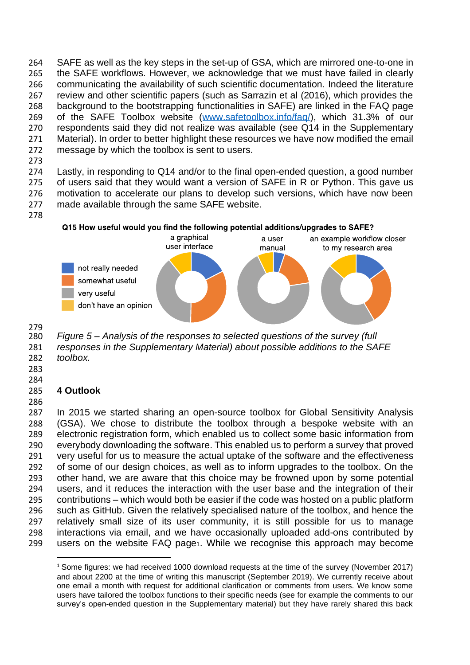SAFE as well as the key steps in the set-up of GSA, which are mirrored one-to-one in the SAFE workflows. However, we acknowledge that we must have failed in clearly communicating the availability of such scientific documentation. Indeed the literature review and other scientific papers (such as Sarrazin et al (2016), which provides the background to the bootstrapping functionalities in SAFE) are linked in the FAQ page of the SAFE Toolbox website [\(www.safetoolbox.info/faq/\)](http://www.safetoolbox.info/faq/), which 31.3% of our respondents said they did not realize was available (see Q14 in the Supplementary Material). In order to better highlight these resources we have now modified the email message by which the toolbox is sent to users.

 Lastly, in responding to Q14 and/or to the final open-ended question, a good number of users said that they would want a version of SAFE in R or Python. This gave us motivation to accelerate our plans to develop such versions, which have now been made available through the same SAFE website.

## Q15 How useful would you find the following potential additions/upgrades to SAFE?



 *Figure 5 – Analysis of the responses to selected questions of the survey (full responses in the Supplementary Material) about possible additions to the SAFE toolbox.*

 

## **4 Outlook**

 In 2015 we started sharing an open-source toolbox for Global Sensitivity Analysis (GSA). We chose to distribute the toolbox through a bespoke website with an electronic registration form, which enabled us to collect some basic information from everybody downloading the software. This enabled us to perform a survey that proved very useful for us to measure the actual uptake of the software and the effectiveness of some of our design choices, as well as to inform upgrades to the toolbox. On the other hand, we are aware that this choice may be frowned upon by some potential users, and it reduces the interaction with the user base and the integration of their contributions – which would both be easier if the code was hosted on a public platform such as GitHub. Given the relatively specialised nature of the toolbox, and hence the relatively small size of its user community, it is still possible for us to manage interactions via email, and we have occasionally uploaded add-ons contributed by users on the website FAQ page1. While we recognise this approach may become

<sup>&</sup>lt;sup>1</sup> Some figures: we had received 1000 download requests at the time of the survey (November 2017) and about 2200 at the time of writing this manuscript (September 2019). We currently receive about one email a month with request for additional clarification or comments from users. We know some users have tailored the toolbox functions to their specific needs (see for example the comments to our survey's open-ended question in the Supplementary material) but they have rarely shared this back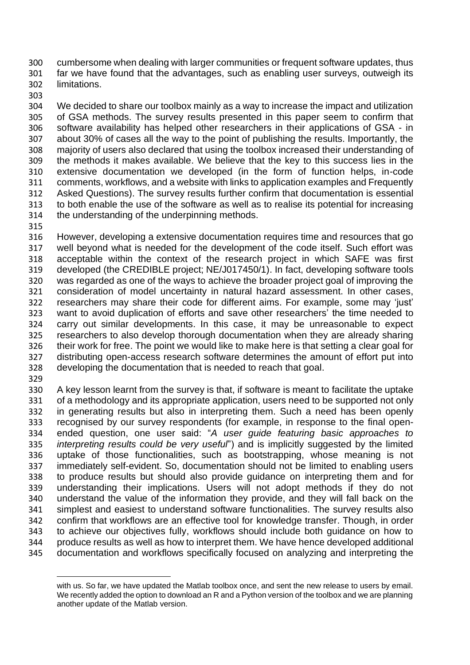cumbersome when dealing with larger communities or frequent software updates, thus far we have found that the advantages, such as enabling user surveys, outweigh its limitations.

 We decided to share our toolbox mainly as a way to increase the impact and utilization of GSA methods. The survey results presented in this paper seem to confirm that software availability has helped other researchers in their applications of GSA - in about 30% of cases all the way to the point of publishing the results. Importantly, the majority of users also declared that using the toolbox increased their understanding of the methods it makes available. We believe that the key to this success lies in the extensive documentation we developed (in the form of function helps, in-code comments, workflows, and a website with links to application examples and Frequently Asked Questions). The survey results further confirm that documentation is essential to both enable the use of the software as well as to realise its potential for increasing the understanding of the underpinning methods.

 However, developing a extensive documentation requires time and resources that go well beyond what is needed for the development of the code itself. Such effort was acceptable within the context of the research project in which SAFE was first developed (the CREDIBLE project; NE/J017450/1). In fact, developing software tools was regarded as one of the ways to achieve the broader project goal of improving the consideration of model uncertainty in natural hazard assessment. In other cases, researchers may share their code for different aims. For example, some may 'just' want to avoid duplication of efforts and save other researchers' the time needed to carry out similar developments. In this case, it may be unreasonable to expect researchers to also develop thorough documentation when they are already sharing their work for free. The point we would like to make here is that setting a clear goal for distributing open-access research software determines the amount of effort put into developing the documentation that is needed to reach that goal.

 A key lesson learnt from the survey is that, if software is meant to facilitate the uptake of a methodology and its appropriate application, users need to be supported not only in generating results but also in interpreting them. Such a need has been openly recognised by our survey respondents (for example, in response to the final open- ended question, one user said: "*A user guide featuring basic approaches to interpreting results could be very useful*") and is implicitly suggested by the limited uptake of those functionalities, such as bootstrapping, whose meaning is not immediately self-evident. So, documentation should not be limited to enabling users to produce results but should also provide guidance on interpreting them and for understanding their implications. Users will not adopt methods if they do not understand the value of the information they provide, and they will fall back on the simplest and easiest to understand software functionalities. The survey results also confirm that workflows are an effective tool for knowledge transfer. Though, in order to achieve our objectives fully, workflows should include both guidance on how to produce results as well as how to interpret them. We have hence developed additional documentation and workflows specifically focused on analyzing and interpreting the

with us. So far, we have updated the Matlab toolbox once, and sent the new release to users by email. We recently added the option to download an R and a Python version of the toolbox and we are planning another update of the Matlab version.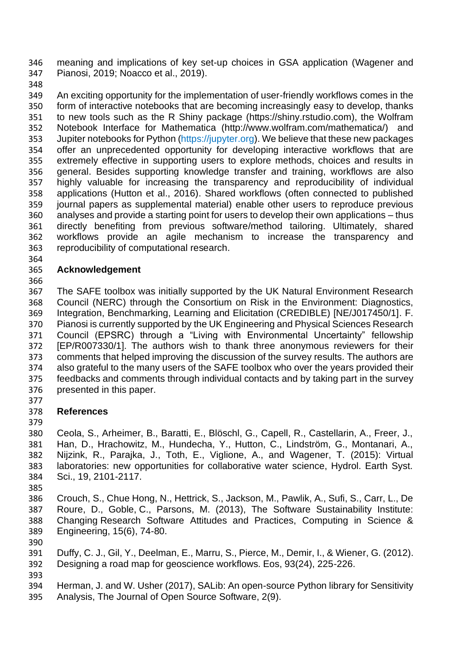meaning and implications of key set-up choices in GSA application (Wagener and Pianosi, 2019; Noacco et al., 2019).

 An exciting opportunity for the implementation of user-friendly workflows comes in the form of interactive notebooks that are becoming increasingly easy to develop, thanks to new tools such as the R Shiny package [\(https://shiny.rstudio.com\)](https://shiny.rstudio.com/), the Wolfram Notebook Interface for Mathematica [\(http://www.wolfram.com/mathematica/\)](http://www.wolfram.com/mathematica/) and 353 Jupiter notebooks for Python (https://jupyter.org). We believe that these new packages offer an unprecedented opportunity for developing interactive workflows that are extremely effective in supporting users to explore methods, choices and results in general. Besides supporting knowledge transfer and training, workflows are also highly valuable for increasing the transparency and reproducibility of individual applications (Hutton et al., 2016). Shared workflows (often connected to published journal papers as supplemental material) enable other users to reproduce previous analyses and provide a starting point for users to develop their own applications – thus directly benefiting from previous software/method tailoring. Ultimately, shared workflows provide an agile mechanism to increase the transparency and reproducibility of computational research.

## **Acknowledgement**

 The SAFE toolbox was initially supported by the UK Natural Environment Research Council (NERC) through the Consortium on Risk in the Environment: Diagnostics, Integration, Benchmarking, Learning and Elicitation (CREDIBLE) [NE/J017450/1]. F. Pianosi is currently supported by the UK Engineering and Physical Sciences Research Council (EPSRC) through a "Living with Environmental Uncertainty" fellowship [EP/R007330/1]. The authors wish to thank three anonymous reviewers for their comments that helped improving the discussion of the survey results. The authors are also grateful to the many users of the SAFE toolbox who over the years provided their feedbacks and comments through individual contacts and by taking part in the survey presented in this paper.

#### **References**

 Ceola, S., Arheimer, B., Baratti, E., Blöschl, G., Capell, R., Castellarin, A., Freer, J., Han, D., Hrachowitz, M., Hundecha, Y., Hutton, C., Lindström, G., Montanari, A., Nijzink, R., Parajka, J., Toth, E., Viglione, A., and Wagener, T. (2015): Virtual laboratories: new opportunities for collaborative water science, Hydrol. Earth Syst. Sci., 19, 2101-2117.

 Crouch, S., Chue Hong, N., Hettrick, S., Jackson, M., Pawlik, A., Sufi, S., Carr, L., De Roure, D., Goble, C., Parsons, M. (2013), The Software Sustainability Institute: Changing Research Software Attitudes and Practices, Computing in Science & Engineering, 15(6), 74-80.

- 
- Duffy, C. J., Gil, Y., Deelman, E., Marru, S., Pierce, M., Demir, I., & Wiener, G. (2012). Designing a road map for geoscience workflows. Eos, 93(24), 225-226.
- 

 Herman, J. and W. Usher (2017), SALib: An open-source Python library for Sensitivity Analysis, The Journal of Open Source Software, 2(9).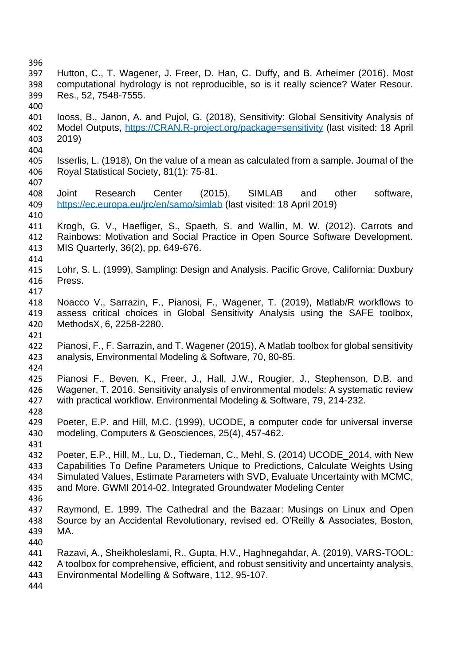| 396 |                                                                                          |
|-----|------------------------------------------------------------------------------------------|
| 397 | Hutton, C., T. Wagener, J. Freer, D. Han, C. Duffy, and B. Arheimer (2016). Most         |
| 398 | computational hydrology is not reproducible, so is it really science? Water Resour.      |
| 399 | Res., 52, 7548-7555.                                                                     |
| 400 |                                                                                          |
| 401 | looss, B., Janon, A. and Pujol, G. (2018), Sensitivity: Global Sensitivity Analysis of   |
| 402 | Model Outputs, https://CRAN.R-project.org/package=sensitivity (last visited: 18 April    |
| 403 | 2019)                                                                                    |
| 404 |                                                                                          |
| 405 | Isserlis, L. (1918), On the value of a mean as calculated from a sample. Journal of the  |
| 406 | Royal Statistical Society, 81(1): 75-81.                                                 |
| 407 |                                                                                          |
| 408 | (2015), SIMLAB<br>Joint<br>Center<br>other<br>software,<br>Research<br>and               |
| 409 | https://ec.europa.eu/jrc/en/samo/simlab (last visited: 18 April 2019)                    |
| 410 |                                                                                          |
| 411 | Krogh, G. V., Haefliger, S., Spaeth, S. and Wallin, M. W. (2012). Carrots and            |
| 412 | Rainbows: Motivation and Social Practice in Open Source Software Development.            |
| 413 | MIS Quarterly, 36(2), pp. 649-676.                                                       |
| 414 |                                                                                          |
| 415 | Lohr, S. L. (1999), Sampling: Design and Analysis. Pacific Grove, California: Duxbury    |
| 416 | Press.                                                                                   |
| 417 |                                                                                          |
| 418 | Noacco V., Sarrazin, F., Pianosi, F., Wagener, T. (2019), Matlab/R workflows to          |
| 419 | assess critical choices in Global Sensitivity Analysis using the SAFE toolbox,           |
| 420 | MethodsX, 6, 2258-2280.                                                                  |
| 421 |                                                                                          |
| 422 | Pianosi, F., F. Sarrazin, and T. Wagener (2015), A Matlab toolbox for global sensitivity |
| 423 | analysis, Environmental Modeling & Software, 70, 80-85.                                  |
| 424 |                                                                                          |
| 425 | Pianosi F., Beven, K., Freer, J., Hall, J.W., Rougier, J., Stephenson, D.B. and          |
| 426 | Wagener, T. 2016. Sensitivity analysis of environmental models: A systematic review      |
| 427 | with practical workflow. Environmental Modeling & Software, 79, 214-232.                 |
| 428 |                                                                                          |
| 429 | Poeter, E.P. and Hill, M.C. (1999), UCODE, a computer code for universal inverse         |
| 430 | modeling, Computers & Geosciences, 25(4), 457-462.                                       |
| 431 |                                                                                          |
| 432 | Poeter, E.P., Hill, M., Lu, D., Tiedeman, C., Mehl, S. (2014) UCODE_2014, with New       |
| 433 | Capabilities To Define Parameters Unique to Predictions, Calculate Weights Using         |
| 434 | Simulated Values, Estimate Parameters with SVD, Evaluate Uncertainty with MCMC,          |
| 435 | and More. GWMI 2014-02. Integrated Groundwater Modeling Center                           |
| 436 |                                                                                          |
| 437 | Raymond, E. 1999. The Cathedral and the Bazaar: Musings on Linux and Open                |
| 438 | Source by an Accidental Revolutionary, revised ed. O'Reilly & Associates, Boston,        |
| 439 | MA.                                                                                      |
| 440 |                                                                                          |
| 441 | Razavi, A., Sheikholeslami, R., Gupta, H.V., Haghnegahdar, A. (2019), VARS-TOOL:         |
| 442 | A toolbox for comprehensive, efficient, and robust sensitivity and uncertainty analysis, |
| 443 | Environmental Modelling & Software, 112, 95-107.                                         |
| 444 |                                                                                          |